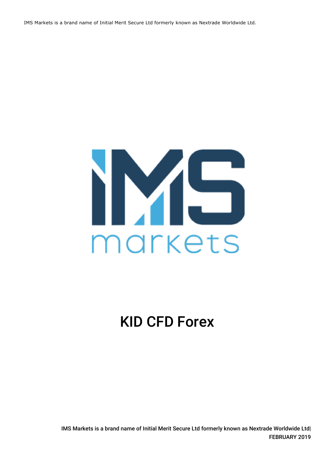IMS Markets is a brand name of Initial Merit Secure Ltd formerly known as Nextrade Worldwide Ltd.



# KID CFD Forex

IMS Markets is a brand name of Initial Merit Secure Ltd formerly known as Nextrade Worldwide Ltd| FEBRUARY 2019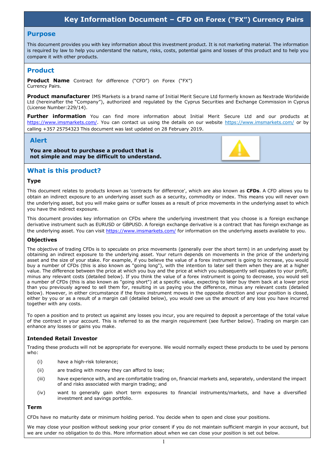# **Key Information Document – CFD on Forex ("FX") Currency Pairs**

#### **Purpose**

This document provides you with key information about this investment product. It is not marketing material. The information is required by law to help you understand the nature, risks, costs, potential gains and losses of this product and to help you compare it with other products.

# **Product**

**Product Name** Contract for difference ("CFD") on Forex ("FX") Currency Pairs.

**Product manufacturer** IMS Markets is a brand name of Initial Merit Secure Ltd formerly known as Nextrade Worldwide Ltd (hereinafter the "Company"), authorized and regulated by the Cyprus Securities and Exchange Commission in Cyprus (License Number:229/14).

**Further information** You can find more information about Initial Merit Secure Ltd and our products at [https://www.imsmarkets.com/.](https://www.imsmarkets.com/) You can contact us using the details on our website https://www.imsmarkets.com/ or by calling +357 25754323 This document was last updated on 28 February 2019.

## **Alert**

**You are about to purchase a product that is not simple and may be difficult to understand.**



# **What is this product?**

#### **Type**

This document relates to products known as 'contracts for difference', which are also known as **CFDs**. A CFD allows you to obtain an indirect exposure to an underlying asset such as a security, commodity or index. This means you will never own the underlying asset, but you will make gains or suffer losses as a result of price movements in the underlying asset to which you have the indirect exposure.

This document provides key information on CFDs where the underlying investment that you choose is a foreign exchange derivative instrument such as EURUSD or GBPUSD. A foreign exchange derivative is a contract that has foreign exchange as the underlying asset. You can visi[t https://www.imsmarkets.com/](https://www.imsmarkets.com/) for information on the underlying assets available to you.

## **Objectives**

The objective of trading CFDs is to speculate on price movements (generally over the short term) in an underlying asset by obtaining an indirect exposure to the underlying asset. Your return depends on movements in the price of the underlying asset and the size of your stake. For example, if you believe the value of a forex instrument is going to increase, you would buy a number of CFDs (this is also known as "going long"), with the intention to later sell them when they are at a higher value. The difference between the price at which you buy and the price at which you subsequently sell equates to your profit, minus any relevant costs (detailed below). If you think the value of a forex instrument is going to decrease, you would sell a number of CFDs (this is also known as "going short") at a specific value, expecting to later buy them back at a lower price than you previously agreed to sell them for, resulting in us paying you the difference, minus any relevant costs (detailed below). However, in either circumstance if the forex instrument moves in the opposite direction and your position is closed, either by you or as a result of a margin call (detailed below), you would owe us the amount of any loss you have incurred together with any costs.

To open a position and to protect us against any losses you incur, you are required to deposit a percentage of the total value of the contract in your account. This is referred to as the margin requirement (see further below). Trading on margin can enhance any losses or gains you make.

## **Intended Retail Investor**

Trading these products will not be appropriate for everyone. We would normally expect these products to be used by persons who:

- (i) have a high-risk tolerance;
- (ii) are trading with money they can afford to lose;
- (iii) have experience with, and are comfortable trading on, financial markets and, separately, understand the impact of and risks associated with margin trading; and
- (iv) want to generally gain short term exposures to financial instruments/markets, and have a diversified investment and savings portfolio.

#### **Term**

CFDs have no maturity date or minimum holding period. You decide when to open and close your positions.

We may close your position without seeking your prior consent if you do not maintain sufficient margin in your account, but we are under no obligation to do this. More information about when we can close your position is set out below.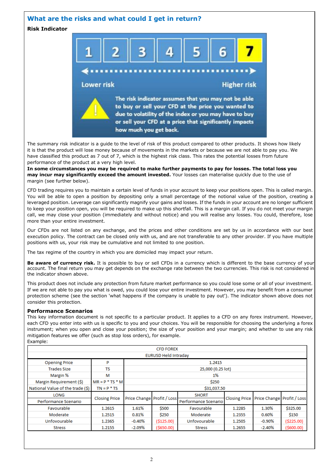## **What are the risks and what could I get in return?**

**Risk Indicator**



The summary risk indicator is a guide to the level of risk of this product compared to other products. It shows how likely it is that the product will lose money because of movements in the markets or because we are not able to pay you. We have classified this product as 7 out of 7, which is the highest risk class. This rates the potential losses from future performance of the product at a very high level.

**In some circumstances you may be required to make further payments to pay for losses. The total loss you may incur may significantly exceed the amount invested.** Your losses can materialise quickly due to the use of margin (see further below).

CFD trading requires you to maintain a certain level of funds in your account to keep your positions open. This is called margin. You will be able to open a position by depositing only a small percentage of the notional value of the position, creating a leveraged position. Leverage can significantly magnify your gains and losses. If the funds in your account are no longer sufficient to keep your position open, you will be required to make up this shortfall. This is a margin call. If you do not meet your margin call, we may close your position (immediately and without notice) and you will realise any losses. You could, therefore, lose more than your entire investment.

Our CFDs are not listed on any exchange, and the prices and other conditions are set by us in accordance with our best execution policy. The contract can be closed only with us, and are not transferable to any other provider. If you have multiple positions with us, your risk may be cumulative and not limited to one position.

The tax regime of the country in which you are domiciled may impact your return.

**Be aware of currency risk.** It is possible to buy or sell CFDs in a currency which is different to the base currency of your account. The final return you may get depends on the exchange rate between the two currencies. This risk is not considered in the indicator shown above.

This product does not include any protection from future market performance so you could lose some or all of your investment. If we are not able to pay you what is owed, you could lose your entire investment. However, you may benefit from a consumer protection scheme (see the section 'what happens if the company is unable to pay out'). The indicator shown above does not consider this protection.

#### **Performance Scenarios**

This key information document is not specific to a particular product. It applies to a CFD on any forex instrument. However, each CFD you enter into with us is specific to you and your choices. You will be responsible for choosing the underlying a forex instrument; when you open and close your position; the size of your position and your margin; and whether to use any risk mitigation features we offer (such as stop loss orders), for example. Example:

| <b>CFD FOREX</b>                 |                      |                            |             |                      |        |                                              |               |  |  |  |  |
|----------------------------------|----------------------|----------------------------|-------------|----------------------|--------|----------------------------------------------|---------------|--|--|--|--|
| <b>EURUSD Held Intraday</b>      |                      |                            |             |                      |        |                                              |               |  |  |  |  |
| <b>Opening Price</b>             | P                    | 1.2415                     |             |                      |        |                                              |               |  |  |  |  |
| <b>Trades Size</b>               | ΤS                   | 25,000 (0.25 lot)          |             |                      |        |                                              |               |  |  |  |  |
| Margin %                         | м                    | 1%                         |             |                      |        |                                              |               |  |  |  |  |
| Margin Requirement (\$)          | $MR = P * TS * MI$   | \$250                      |             |                      |        |                                              |               |  |  |  |  |
| National Value of the trade (\$) | $TN = P * TS$        | \$31,037.50                |             |                      |        |                                              |               |  |  |  |  |
| <b>LONG</b>                      |                      | Price Change Profit / Loss |             | <b>SHORT</b>         |        | Closing Price   Price Change   Profit / Loss |               |  |  |  |  |
| Performance Scenario             | <b>Closing Price</b> |                            |             | Performance Scenario |        |                                              |               |  |  |  |  |
| Favourable                       | 1.2615               | 1.61%                      | \$500       | Favourable           | 1.2285 | 1.30%                                        | \$325.00      |  |  |  |  |
| Moderate                         | 1.2515               | $0.81\%$                   | \$250       | Moderate             | 1.2355 | 0.60%                                        | \$150         |  |  |  |  |
| Unfovourable                     | 1.2365               | $-0.40%$                   | ( \$125.00) | Unfovourable         | 1.2505 | $-0.90\%$                                    | ( \$225.00)   |  |  |  |  |
| <b>Stress</b>                    | 1.2155               | $-2.09\%$                  | (\$650.00)  | <b>Stress</b>        | 1.2655 | $-2.40%$                                     | $($ \$600.00) |  |  |  |  |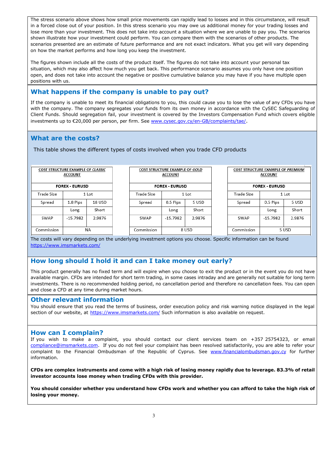The stress scenario above shows how small price movements can rapidly lead to losses and in this circumstance, will result in a forced close out of your position. In this stress scenario you may owe us additional money for your trading losses and lose more than your investment. This does not take into account a situation where we are unable to pay you. The scenarios shown illustrate how your investment could perform. You can compare them with the scenarios of other products. The scenarios presented are an estimate of future performance and are not exact indicators. What you get will vary depending on how the market performs and how long you keep the investment.

The figures shown include all the costs of the product itself. The figures do not take into account your personal tax situation, which may also affect how much you get back. This performance scenario assumes you only have one position open, and does not take into account the negative or positive cumulative balance you may have if you have multiple open positions with us.

# **What happens if the company is unable to pay out?**

If the company is unable to meet its financial obligations to you, this could cause you to lose the value of any CFDs you have with the company. The company segregates your funds from its own money in accordance with the CySEC Safeguarding of Client Funds. Should segregation fail, your investment is covered by the Investors Compensation Fund which covers eligible investments up to €20,000 per person, per firm. Se[e www.cysec.gov.cy/en-GB/complaints/tae/.](http://www.cysec.gov.cy/en-GB/complaints/tae/)

## **What are the costs?**

This table shows the different types of costs involved when you trade CFD products

| <b>COST STRUCTURE EXAMPLE OF CLASSIC</b><br><b>ACCOUNT</b> |           | COST STRUCTURE EXAMPLE OF GOLD<br><b>ACCOUNT</b> |            |            | <b>COST STRUCTURE EXAMPLE OF PREMIUM</b><br><b>ACCOUNT</b> |            |            |        |
|------------------------------------------------------------|-----------|--------------------------------------------------|------------|------------|------------------------------------------------------------|------------|------------|--------|
| <b>FOREX - EURUSD</b>                                      |           | <b>FOREX - EURUSD</b>                            |            |            | <b>FOREX - EURUSD</b>                                      |            |            |        |
| Trade Size                                                 | 1 Lot     |                                                  | Trade Size | 1 Lot      |                                                            | Trade Size | 1 Lot      |        |
| Spread                                                     | 1.8 Pips  | 18 USD                                           | Spread     | 0.5 Pips   | 5 USD                                                      | Spread     | 0.5 Pips   | 5 USD  |
|                                                            | Long      | Short                                            |            | Long       | Short                                                      |            | Long       | Short  |
| SWAP                                                       | -15.7982  | 2.9876                                           | SWAP       | $-15.7982$ | 2.9876                                                     | SWAP       | $-15.7982$ | 2.9876 |
| Commission                                                 | <b>NA</b> |                                                  | Commission | 8 USD      |                                                            | Commission | 5 USD      |        |

The costs will vary depending on the underlying investment options you choose. Specific information can be found <https://www.imsmarkets.com/>

# **How long should I hold it and can I take money out early?**

This product generally has no fixed term and will expire when you choose to exit the product or in the event you do not have available margin. CFDs are intended for short term trading, in some cases intraday and are generally not suitable for long term investments. There is no recommended holding period, no cancellation period and therefore no cancellation fees. You can open and close a CFD at any time during market hours.

#### **Other relevant information**

You should ensure that you read the terms of business, order execution policy and risk warning notice displayed in the legal section of our website, at <https://www.imsmarkets.com/> Such information is also available on request.

## **How can I complain?**

If you wish to make a complaint, you should contact our client services team on +357 25754323, or email [compliance@imsmarkets.com.](mailto:compliance@imsmarkets.com) If you do not feel your complaint has been resolved satisfactorily, you are able to refer your complaint to the Financial Ombudsman of the Republic of Cyprus. See [www.financialombudsman.gov.cy](http://www.financialombudsman.gov.cy/) for further information.

**CFDs are complex instruments and come with a high risk of losing money rapidly due to leverage. 83.3% of retail investor accounts lose money when trading CFDs with this provider.**

**You should consider whether you understand how CFDs work and whether you can afford to take the high risk of losing your money.**